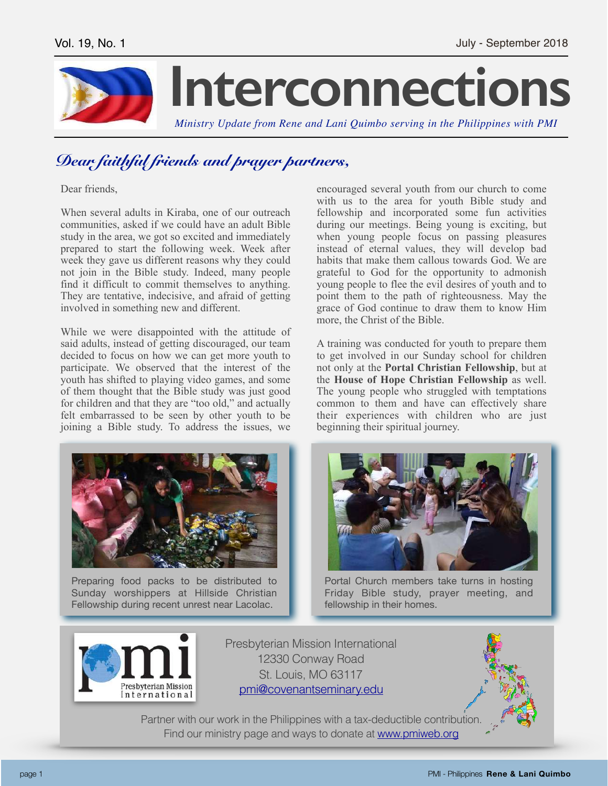

## *Dear faithful friends and prayer partners,*

Dear friends,

When several adults in Kiraba, one of our outreach communities, asked if we could have an adult Bible study in the area, we got so excited and immediately prepared to start the following week. Week after week they gave us different reasons why they could not join in the Bible study. Indeed, many people find it difficult to commit themselves to anything. They are tentative, indecisive, and afraid of getting involved in something new and different.

While we were disappointed with the attitude of said adults, instead of getting discouraged, our team decided to focus on how we can get more youth to participate. We observed that the interest of the youth has shifted to playing video games, and some of them thought that the Bible study was just good for children and that they are "too old," and actually felt embarrassed to be seen by other youth to be joining a Bible study. To address the issues, we



Preparing food packs to be distributed to Sunday worshippers at Hillside Christian Fellowship during recent unrest near Lacolac.

encouraged several youth from our church to come with us to the area for youth Bible study and fellowship and incorporated some fun activities during our meetings. Being young is exciting, but when young people focus on passing pleasures instead of eternal values, they will develop bad habits that make them callous towards God. We are grateful to God for the opportunity to admonish young people to flee the evil desires of youth and to point them to the path of righteousness. May the grace of God continue to draw them to know Him more, the Christ of the Bible.

A training was conducted for youth to prepare them to get involved in our Sunday school for children not only at the **Portal Christian Fellowship**, but at the **House of Hope Christian Fellowship** as well. The young people who struggled with temptations common to them and have can effectively share their experiences with children who are just beginning their spiritual journey.



Portal Church members take turns in hosting Friday Bible study, prayer meeting, and fellowship in their homes.



Presbyterian Mission International 12330 Conway Road St. Louis, MO 63117 [pmi@covenantseminary.edu](mailto:pmi@covenantseminary.edu)



Partner with our work in the Philippines with a tax-deductible contribution. Find our ministry page and ways to donate at [www.pmiweb.org](http://www.pmiweb.org)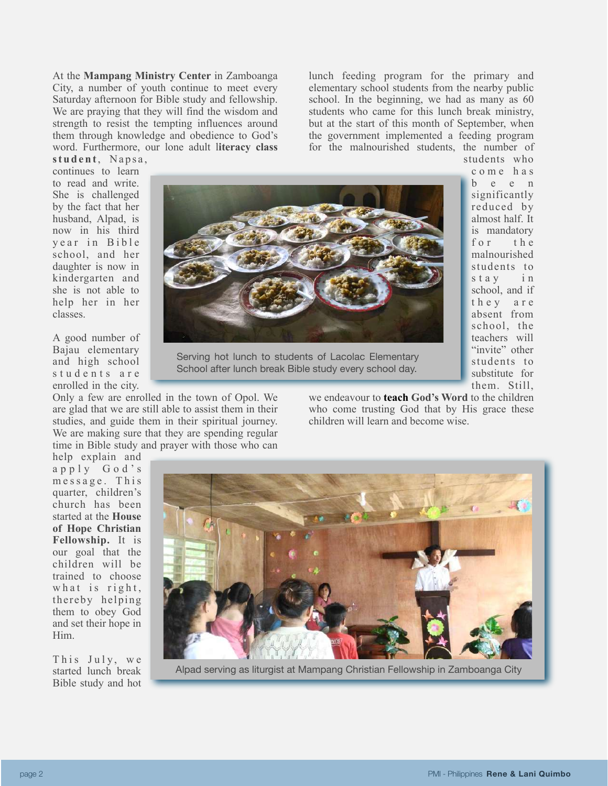At the **Mampang Ministry Center** in Zamboanga City, a number of youth continue to meet every Saturday afternoon for Bible study and fellowship. We are praying that they will find the wisdom and strength to resist the tempting influences around them through knowledge and obedience to God's word. Furthermore, our lone adult l**iteracy class** 

lunch feeding program for the primary and elementary school students from the nearby public school. In the beginning, we had as many as 60 students who came for this lunch break ministry, but at the start of this month of September, when the government implemented a feeding program for the malnourished students, the number of students who

> c o m e h a s b e e n significantly reduced by almost half. It is mandatory for the malnourished students to stay in school, and if t h e y a r e absent from school, the teachers will "invite" other students to substitute for them. Still,

student, Napsa, continues to learn to read and write. She is challenged by the fact that her husband, Alpad, is now in his third y e ar in Bible school, and her daughter is now in kindergarten and she is not able to help her in her classes.

A good number of Bajau elementary and high school students are enrolled in the city.

Only a few are enrolled in the town of Opol. We are glad that we are still able to assist them in their studies, and guide them in their spiritual journey. We are making sure that they are spending regular time in Bible study and prayer with those who can

Serving hot lunch to students of Lacolac Elementary School after lunch break Bible study every school day.

we endeavour to **teach God's Word** to the children who come trusting God that by His grace these children will learn and become wise.

help explain and a p p l y G o d ' s message. This quarter, children's church has been started at the **House of Hope Christian Fellowship.** It is our goal that the children will be trained to choose what is right, thereby helping them to obey God and set their hope in Him.

This July, we started lunch break Bible study and hot



Alpad serving as liturgist at Mampang Christian Fellowship in Zamboanga City